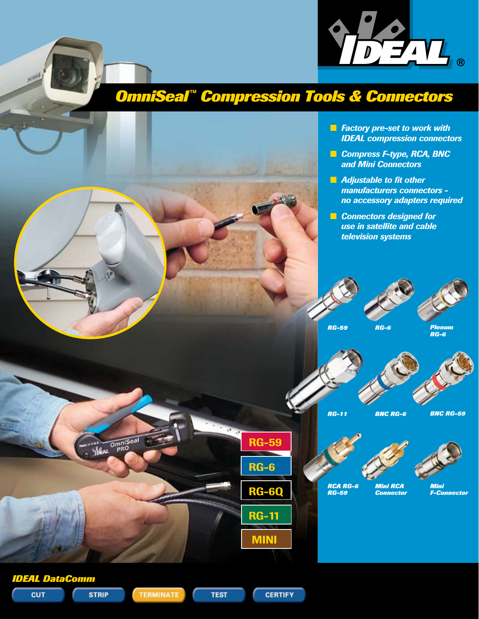# *OmniSeal™ Compression Tools & Connectors*

**n** *Factory pre-set to work with IDEAL compression connectors*

DEN.

- **n** *Compress F-type, RCA, BNC and Mini Connectors*
- **n** *Adjustable to fit other manufacturers connectors no accessory adapters required*
- **n** *Connectors designed for use in satellite and cable television systems*



*BNC RG-59*



*Mini F-Connector*



**TEST** 

**STRIP** 

**CUT** 

**TERMINATE** 

**CERTIFY**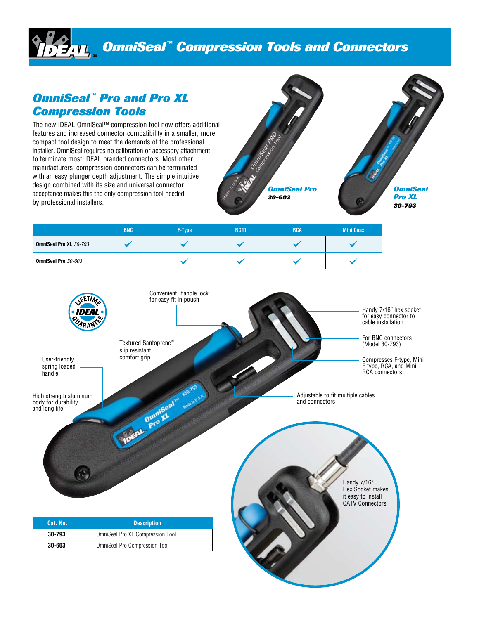# *OmniSeal™ Compression Tools and Connectors*

## *OmniSeal™ Pro and Pro XL Compression Tools*

The new IDEAL OmniSeal™ compression tool now offers additional features and increased connector compatibility in a smaller, more compact tool design to meet the demands of the professional installer. OmniSeal requires no calibration or accessory attachment to terminate most IDEAL branded connectors. Most other manufacturers' compression connectors can be terminated with an easy plunger depth adjustment. The simple intuitive design combined with its size and universal connector acceptance makes this the only compression tool needed by professional installers.



|                               | <b>BNC</b> | F-Type | <b>RG11</b> | <b>RCA</b> | <b>Mini Coax</b> |
|-------------------------------|------------|--------|-------------|------------|------------------|
| <b>OmniSeal Pro XL 30-793</b> |            |        |             |            |                  |
| OmniSeal Pro 30-603           |            |        |             |            |                  |

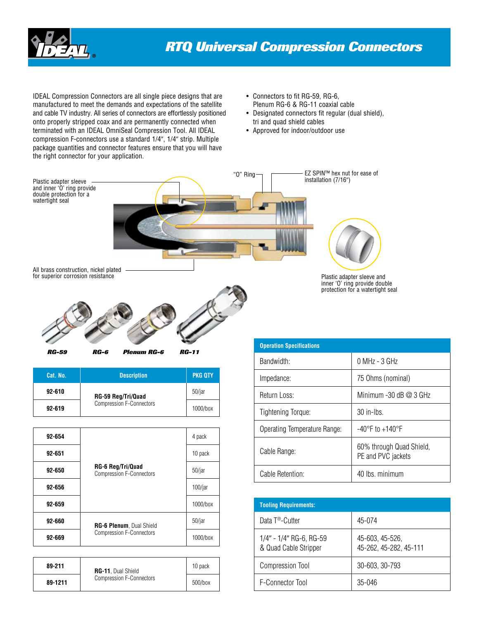

IDEAL Compression Connectors are all single piece designs that are manufactured to meet the demands and expectations of the satellite and cable TV industry. All series of connectors are effortlessly positioned onto properly stripped coax and are permanently connected when terminated with an IDEAL OmniSeal Compression Tool. All IDEAL compression F-connectors use a standard 1/4", 1/4" strip. Multiple package quantities and connector features ensure that you will have the right connector for your application.

- Connectors to fit RG-59, RG-6, Plenum RG-6 & RG-11 coaxial cable
- Designated connectors fit regular (dual shield), tri and quad shield cables
- Approved for indoor/outdoor use



| <b>RG-59</b> | RG-6 | <b>Plenum RG-6</b> | <b>RG-11</b> |
|--------------|------|--------------------|--------------|

| Cat. No.   | <b>Description</b>              | <b>PKG QTY</b> |
|------------|---------------------------------|----------------|
| $92 - 610$ | RG-59 Reg/Tri/Quad              | 50/jar         |
| $92 - 619$ | <b>Compression F-Connectors</b> | 1000/box       |

| 92-654 |                                                             | 4 pack     |
|--------|-------------------------------------------------------------|------------|
| 92-651 |                                                             | 10 pack    |
| 92-650 | <b>RG-6 Reg/Tri/Quad</b><br><b>Compression F-Connectors</b> | $50/$ jar  |
| 92-656 |                                                             | $100/$ jar |
| 92-659 |                                                             | 1000/box   |
| 92-660 | RG-6 Plenum, Dual Shield                                    | $50/$ jar  |
| 92-669 | <b>Compression F-Connectors</b>                             | 1000/box   |

| 89-211  | <b>RG-11</b> , Dual Shield      | 10 pack |
|---------|---------------------------------|---------|
| 89-1211 | <b>Compression F-Connectors</b> | 500/box |

| <b>Operation Specifications</b> |                                                |
|---------------------------------|------------------------------------------------|
| Bandwidth:                      | $0$ MHz - $3$ GHz                              |
| Impedance:                      | 75 Ohms (nominal)                              |
| Return Loss:                    | Minimum $-30$ dB $@$ 3 GHz                     |
| <b>Tightening Torque:</b>       | $30$ in-lbs.                                   |
| Operating Temperature Range:    | $-40^{\circ}$ F to $+140^{\circ}$ F            |
| Cable Range:                    | 60% through Quad Shield,<br>PE and PVC jackets |
| Cable Retention:                | 40 lbs. minimum                                |

| <b>Tooling Requirements:</b>                     |                                           |
|--------------------------------------------------|-------------------------------------------|
| Data T <sup>®</sup> -Cutter                      | 45-074                                    |
| 1/4" - 1/4" RG-6, RG-59<br>& Quad Cable Stripper | 45-603, 45-526,<br>45-262, 45-282, 45-111 |
| <b>Compression Tool</b>                          | 30-603, 30-793                            |
| F-Connector Tool                                 | $35-046$                                  |